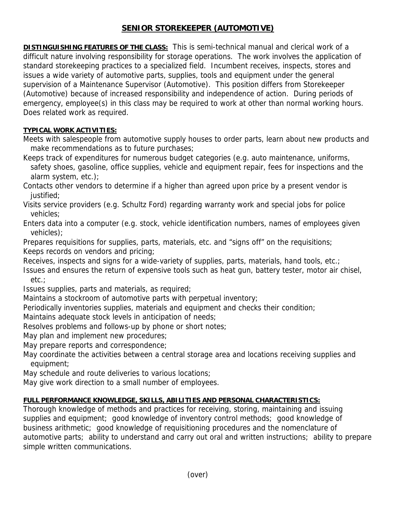## **SENIOR STOREKEEPER (AUTOMOTIVE)**

**DISTINGUISHING FEATURES OF THE CLASS:** This is semi-technical manual and clerical work of a difficult nature involving responsibility for storage operations. The work involves the application of standard storekeeping practices to a specialized field. Incumbent receives, inspects, stores and issues a wide variety of automotive parts, supplies, tools and equipment under the general supervision of a Maintenance Supervisor (Automotive). This position differs from Storekeeper (Automotive) because of increased responsibility and independence of action. During periods of emergency, employee(s) in this class may be required to work at other than normal working hours. Does related work as required.

## **TYPICAL WORK ACTIVITIES:**

Meets with salespeople from automotive supply houses to order parts, learn about new products and make recommendations as to future purchases;

Keeps track of expenditures for numerous budget categories (e.g. auto maintenance, uniforms, safety shoes, gasoline, office supplies, vehicle and equipment repair, fees for inspections and the alarm system, etc.);

Contacts other vendors to determine if a higher than agreed upon price by a present vendor is justified;

Visits service providers (e.g. Schultz Ford) regarding warranty work and special jobs for police vehicles;

Enters data into a computer (e.g. stock, vehicle identification numbers, names of employees given vehicles);

Prepares requisitions for supplies, parts, materials, etc. and "signs off" on the requisitions; Keeps records on vendors and pricing;

Receives, inspects and signs for a wide-variety of supplies, parts, materials, hand tools, etc.;

Issues and ensures the return of expensive tools such as heat gun, battery tester, motor air chisel, etc.;

Issues supplies, parts and materials, as required;

Maintains a stockroom of automotive parts with perpetual inventory;

Periodically inventories supplies, materials and equipment and checks their condition;

Maintains adequate stock levels in anticipation of needs;

Resolves problems and follows-up by phone or short notes;

May plan and implement new procedures;

May prepare reports and correspondence;

May coordinate the activities between a central storage area and locations receiving supplies and equipment;

May schedule and route deliveries to various locations;

May give work direction to a small number of employees.

## **FULL PERFORMANCE KNOWLEDGE, SKILLS, ABILITIES AND PERSONAL CHARACTERISTICS:**

Thorough knowledge of methods and practices for receiving, storing, maintaining and issuing supplies and equipment; good knowledge of inventory control methods; good knowledge of business arithmetic; good knowledge of requisitioning procedures and the nomenclature of automotive parts; ability to understand and carry out oral and written instructions; ability to prepare simple written communications.